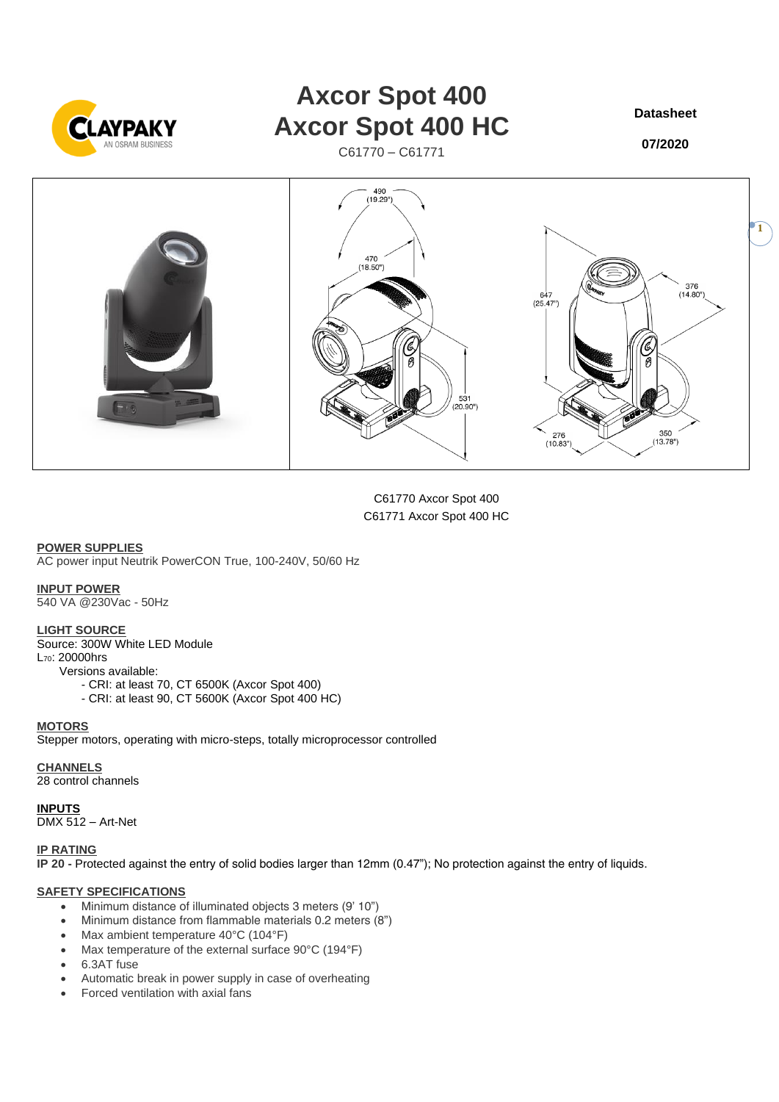

# **Axcor Spot 400 Axcor Spot 400 HC**

C61770 – C61771

**Datasheet**

**07/2020**



C61770 Axcor Spot 400 C61771 Axcor Spot 400 HC

**POWER SUPPLIES** AC power input Neutrik PowerCON True, 100-240V, 50/60 Hz

**INPUT POWER**

540 VA @230Vac - 50Hz

## **LIGHT SOURCE**

Source: 300W White LED Module L70: 20000hrs Versions available: - CRI: at least 70, CT 6500K (Axcor Spot 400) - CRI: at least 90, CT 5600K (Axcor Spot 400 HC)

#### **MOTORS**

Stepper motors, operating with micro-steps, totally microprocessor controlled

**CHANNELS**

28 control channels

# **INPUTS**

DMX 512 – Art-Net

#### **IP RATING**

**IP 20 -** Protected against the entry of solid bodies larger than 12mm (0.47"); No protection against the entry of liquids.

#### **SAFETY SPECIFICATIONS**

- Minimum distance of illuminated objects 3 meters (9' 10")
- Minimum distance from flammable materials 0.2 meters (8")
- Max ambient temperature 40°C (104°F)
- Max temperature of the external surface 90°C (194°F)
- 6.3AT fuse
- Automatic break in power supply in case of overheating
- Forced ventilation with axial fans